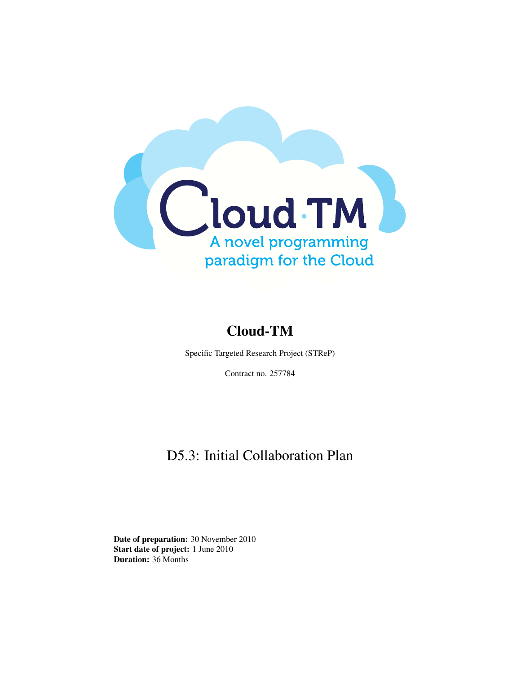

### Cloud-TM

Specific Targeted Research Project (STReP)

Contract no. 257784

### D5.3: Initial Collaboration Plan

Date of preparation: 30 November 2010 Start date of project: 1 June 2010 Duration: 36 Months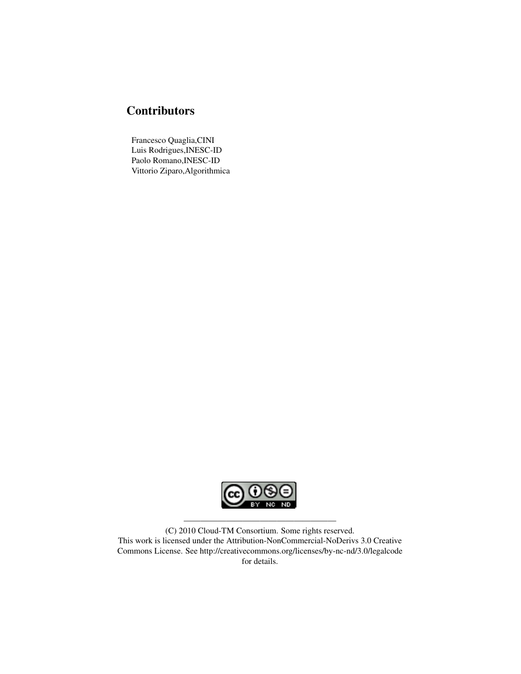#### **Contributors**

Francesco Quaglia,CINI Luis Rodrigues,INESC-ID Paolo Romano,INESC-ID Vittorio Ziparo,Algorithmica



(C) 2010 Cloud-TM Consortium. Some rights reserved. This work is licensed under the Attribution-NonCommercial-NoDerivs 3.0 Creative Commons License. See http://creativecommons.org/licenses/by-nc-nd/3.0/legalcode for details.

——————————————————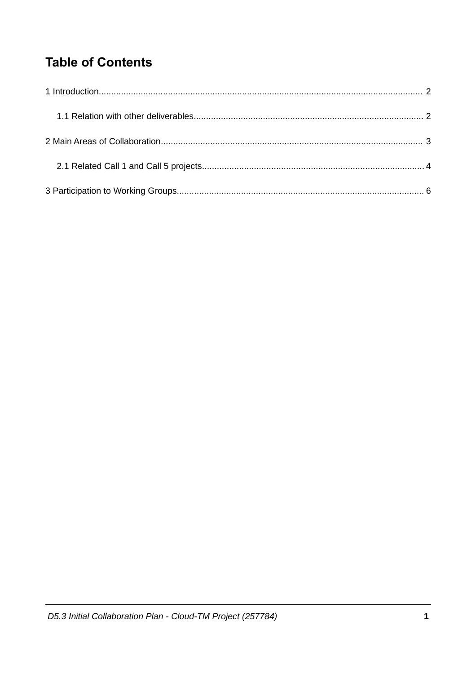## **Table of Contents**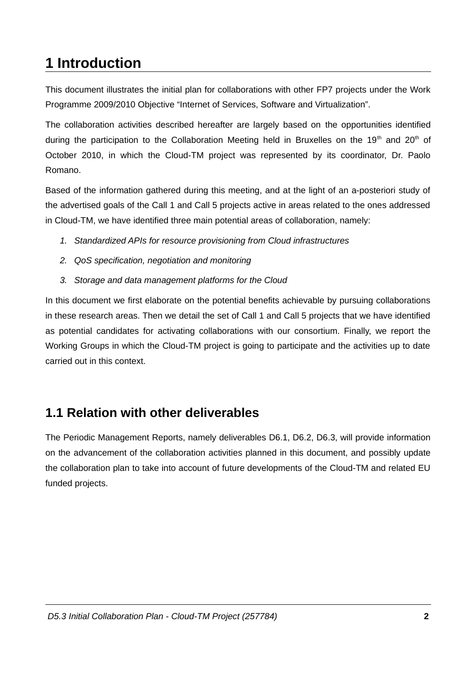# 1 Introduction

This document illustrates the initial plan for collaborations with other FP7 projects under the Work Programme 2009/2010 Objective "Internet of Services, Software and Virtualization".

The collaboration activities described hereafter are largely based on the opportunities identified during the participation to the Collaboration Meeting held in Bruxelles on the 19<sup>th</sup> and 20<sup>th</sup> of October 2010, in which the Cloud-TM project was represented by its coordinator, Dr. Paolo Romano.

Based of the information gathered during this meeting, and at the light of an a-posteriori study of the advertised goals of the Call 1 and Call 5 projects active in areas related to the ones addressed in Cloud-TM, we have identified three main potential areas of collaboration, namely:

- 1. Standardized APIs for resource provisioning from Cloud infrastructures
- 2. QoS specification, negotiation and monitoring
- 3. Storage and data management platforms for the Cloud

In this document we first elaborate on the potential benefits achievable by pursuing collaborations in these research areas. Then we detail the set of Call 1 and Call 5 projects that we have identified as potential candidates for activating collaborations with our consortium. Finally, we report the Working Groups in which the Cloud-TM project is going to participate and the activities up to date carried out in this context.

### 1.1 Relation with other deliverables

The Periodic Management Reports, namely deliverables D6.1, D6.2, D6.3, will provide information on the advancement of the collaboration activities planned in this document, and possibly update the collaboration plan to take into account of future developments of the Cloud-TM and related EU funded projects.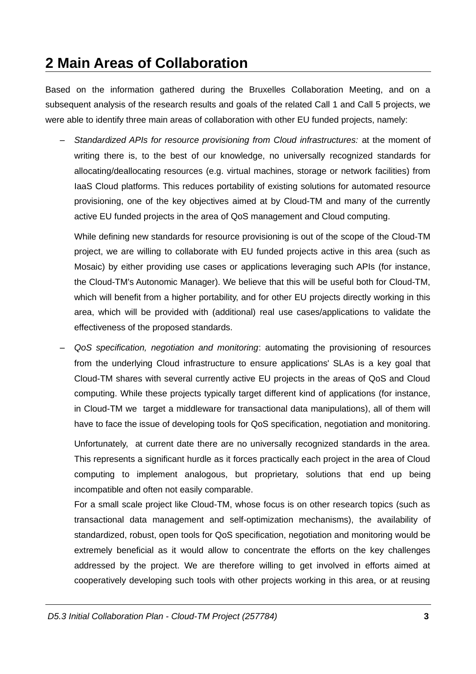### 2 Main Areas of Collaboration

Based on the information gathered during the Bruxelles Collaboration Meeting, and on a subsequent analysis of the research results and goals of the related Call 1 and Call 5 projects, we were able to identify three main areas of collaboration with other EU funded projects, namely:

Standardized APIs for resource provisioning from Cloud infrastructures: at the moment of writing there is, to the best of our knowledge, no universally recognized standards for allocating/deallocating resources (e.g. virtual machines, storage or network facilities) from laaS Cloud platforms. This reduces portability of existing solutions for automated resource provisioning, one of the key objectives aimed at by Cloud-TM and many of the currently active EU funded projects in the area of QoS management and Cloud computing.

While defining new standards for resource provisioning is out of the scope of the Cloud-TM project, we are willing to collaborate with EU funded projects active in this area (such as Mosaic) by either providing use cases or applications leveraging such APIs (for instance, the Cloud-TM's Autonomic Manager). We believe that this will be useful both for Cloud-TM, which will benefit from a higher portability, and for other EU projects directly working in this area, which will be provided with (additional) real use cases/applications to validate the effectiveness of the proposed standards.

OoS specification, negotiation and monitoring: automating the provisioning of resources from the underlying Cloud infrastructure to ensure applications' SLAs is a key goal that Cloud-TM shares with several currently active EU projects in the areas of OoS and Cloud computing. While these projects typically target different kind of applications (for instance, in Cloud-TM we target a middleware for transactional data manipulations), all of them will have to face the issue of developing tools for QoS specification, negotiation and monitoring.

Unfortunately, at current date there are no universally recognized standards in the area. This represents a significant hurdle as it forces practically each project in the area of Cloud computing to implement analogous, but proprietary, solutions that end up being incompatible and often not easily comparable.

For a small scale project like Cloud-TM, whose focus is on other research topics (such as transactional data management and self-optimization mechanisms), the availability of standardized, robust, open tools for QoS specification, negotiation and monitoring would be extremely beneficial as it would allow to concentrate the efforts on the key challenges addressed by the project. We are therefore willing to get involved in efforts aimed at cooperatively developing such tools with other projects working in this area, or at reusing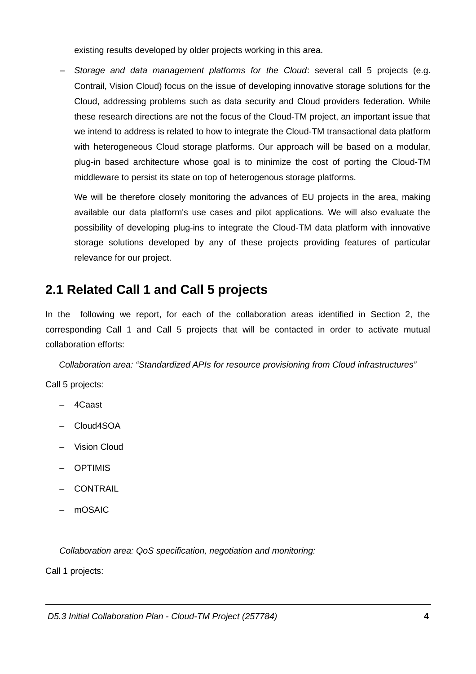existing results developed by older projects working in this area.

Storage and data management platforms for the Cloud: several call 5 projects (e.g. Contrail, Vision Cloud) focus on the issue of developing innovative storage solutions for the Cloud, addressing problems such as data security and Cloud providers federation. While these research directions are not the focus of the Cloud-TM project, an important issue that we intend to address is related to how to integrate the Cloud-TM transactional data platform with heterogeneous Cloud storage platforms. Our approach will be based on a modular, plug-in based architecture whose goal is to minimize the cost of porting the Cloud-TM middleware to persist its state on top of heterogenous storage platforms.

We will be therefore closely monitoring the advances of EU projects in the area, making available our data platform's use cases and pilot applications. We will also evaluate the possibility of developing plug-ins to integrate the Cloud-TM data platform with innovative storage solutions developed by any of these projects providing features of particular relevance for our project.

#### 2.1 Related Call 1 and Call 5 projects

In the following we report, for each of the collaboration areas identified in Section 2, the corresponding Call 1 and Call 5 projects that will be contacted in order to activate mutual collaboration efforts:

Collaboration area: "Standardized APIs for resource provisioning from Cloud infrastructures"

Call 5 projects:

- $-$  4Caast
- $-$  Cloud4SOA
- Vision Cloud
- OPTIMIS
- CONTRAIL
- mOSAIC

Collaboration area: QoS specification, negotiation and monitoring:

Call 1 projects: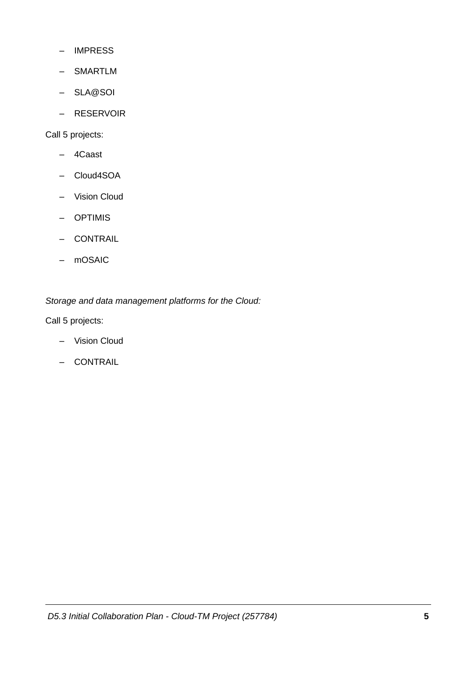- IMPRESS
- SMARTLM
- SLA@SOI
- RESERVOIR

Call 5 projects:

- 4Caast
- Cloud4SOA
- Vision Cloud
- OPTIMIS
- CONTRAIL
- mOSAIC

Storage and data management platforms for the Cloud:

Call 5 projects:

- Vision Cloud
- CONTRAIL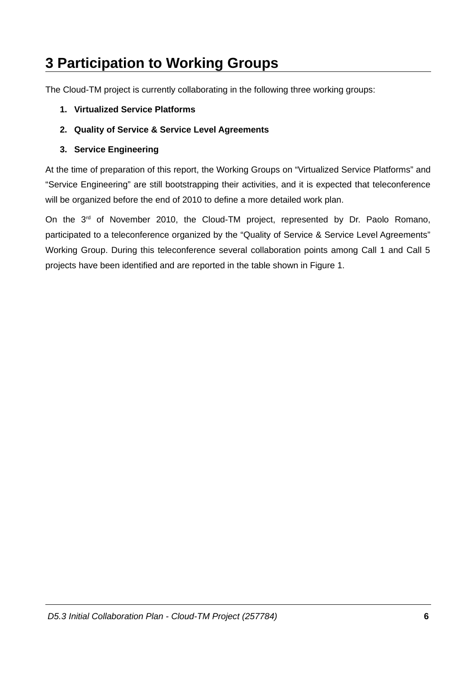# **3 Participation to Working Groups**

The Cloud-TM project is currently collaborating in the following three working groups:

- 1. Virtualized Service Platforms
- 2. Quality of Service & Service Level Agreements
- 3. Service Engineering

At the time of preparation of this report, the Working Groups on "Virtualized Service Platforms" and "Service Engineering" are still bootstrapping their activities, and it is expected that teleconference will be organized before the end of 2010 to define a more detailed work plan.

On the 3<sup>rd</sup> of November 2010, the Cloud-TM project, represented by Dr. Paolo Romano, participated to a teleconference organized by the "Quality of Service & Service Level Agreements" Working Group. During this teleconference several collaboration points among Call 1 and Call 5 projects have been identified and are reported in the table shown in Figure 1.